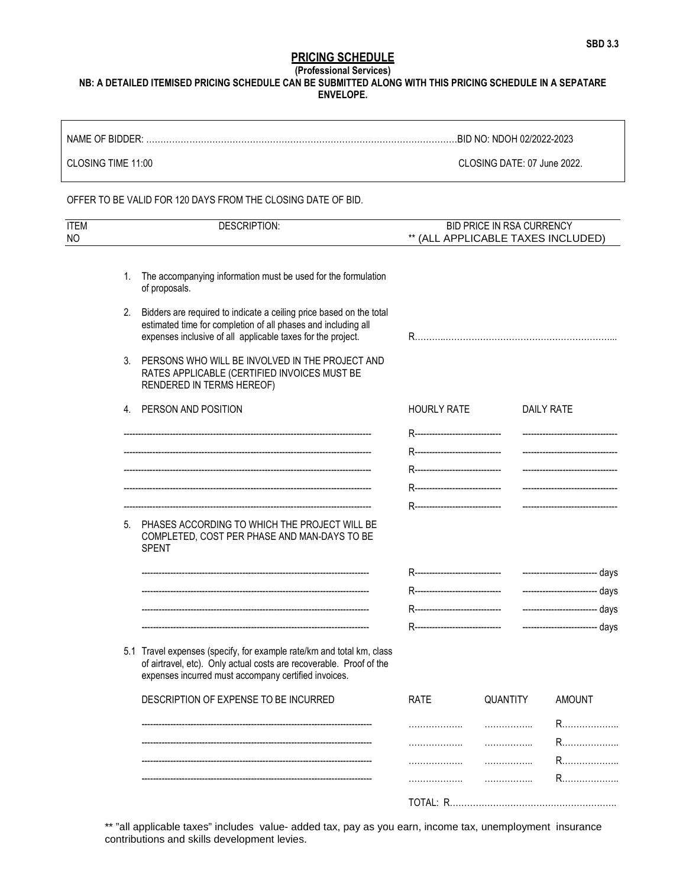## PRICING SCHEDULE

(Professional Services)

NB: A DETAILED ITEMISED PRICING SCHEDULE CAN BE SUBMITTED ALONG WITH THIS PRICING SCHEDULE IN A SEPATARE ENVELOPE.

| NAME OF BIDDER:    | BID NO: NDOH 02/2022-2023   |
|--------------------|-----------------------------|
| CLOSING TIME 11:00 | CLOSING DATE: 07 June 2022. |

## OFFER TO BE VALID FOR 120 DAYS FROM THE CLOSING DATE OF BID.

| <b>ITEM</b><br>NO |    | <b>DESCRIPTION:</b>                                                                                                                                                                                  | BID PRICE IN RSA CURRENCY<br>** (ALL APPLICABLE TAXES INCLUDED) |                                  |                                   |  |
|-------------------|----|------------------------------------------------------------------------------------------------------------------------------------------------------------------------------------------------------|-----------------------------------------------------------------|----------------------------------|-----------------------------------|--|
|                   |    |                                                                                                                                                                                                      |                                                                 |                                  |                                   |  |
|                   | 1. | The accompanying information must be used for the formulation<br>of proposals.                                                                                                                       |                                                                 |                                  |                                   |  |
|                   | 2. | Bidders are required to indicate a ceiling price based on the total<br>estimated time for completion of all phases and including all<br>expenses inclusive of all applicable taxes for the project.  |                                                                 |                                  |                                   |  |
|                   | 3. | PERSONS WHO WILL BE INVOLVED IN THE PROJECT AND<br>RATES APPLICABLE (CERTIFIED INVOICES MUST BE<br>RENDERED IN TERMS HEREOF)                                                                         |                                                                 |                                  |                                   |  |
|                   |    | 4. PERSON AND POSITION                                                                                                                                                                               | <b>HOURLY RATE</b>                                              |                                  | <b>DAILY RATE</b>                 |  |
|                   |    |                                                                                                                                                                                                      | R-------------------------------                                |                                  |                                   |  |
|                   |    |                                                                                                                                                                                                      | R------------------------------                                 |                                  |                                   |  |
|                   |    |                                                                                                                                                                                                      | R-------------------------------                                |                                  | ------------------------------    |  |
|                   |    |                                                                                                                                                                                                      |                                                                 | R------------------------------- | --------------------------------- |  |
|                   |    |                                                                                                                                                                                                      | R------------------------------                                 |                                  |                                   |  |
|                   | 5. | PHASES ACCORDING TO WHICH THE PROJECT WILL BE<br>COMPLETED, COST PER PHASE AND MAN-DAYS TO BE<br><b>SPENT</b>                                                                                        |                                                                 |                                  |                                   |  |
|                   |    |                                                                                                                                                                                                      |                                                                 |                                  |                                   |  |
|                   |    |                                                                                                                                                                                                      |                                                                 | R------------------------------- | ------------------------- days    |  |
|                   |    |                                                                                                                                                                                                      |                                                                 |                                  |                                   |  |
|                   |    |                                                                                                                                                                                                      |                                                                 |                                  |                                   |  |
|                   |    | 5.1 Travel expenses (specify, for example rate/km and total km, class<br>of airtravel, etc). Only actual costs are recoverable. Proof of the<br>expenses incurred must accompany certified invoices. |                                                                 |                                  |                                   |  |
|                   |    | DESCRIPTION OF EXPENSE TO BE INCURRED                                                                                                                                                                | <b>RATE</b>                                                     | QUANTITY                         | <b>AMOUNT</b>                     |  |
|                   |    |                                                                                                                                                                                                      | .                                                               | .                                | R…………………                          |  |
|                   |    |                                                                                                                                                                                                      | .                                                               | .                                | R…………………                          |  |
|                   |    |                                                                                                                                                                                                      | .                                                               | .                                | R…………………                          |  |
|                   |    |                                                                                                                                                                                                      | .                                                               | .                                | R…………………                          |  |
|                   |    |                                                                                                                                                                                                      |                                                                 |                                  |                                   |  |

\*\* "all applicable taxes" includes value- added tax, pay as you earn, income tax, unemployment insurance contributions and skills development levies.